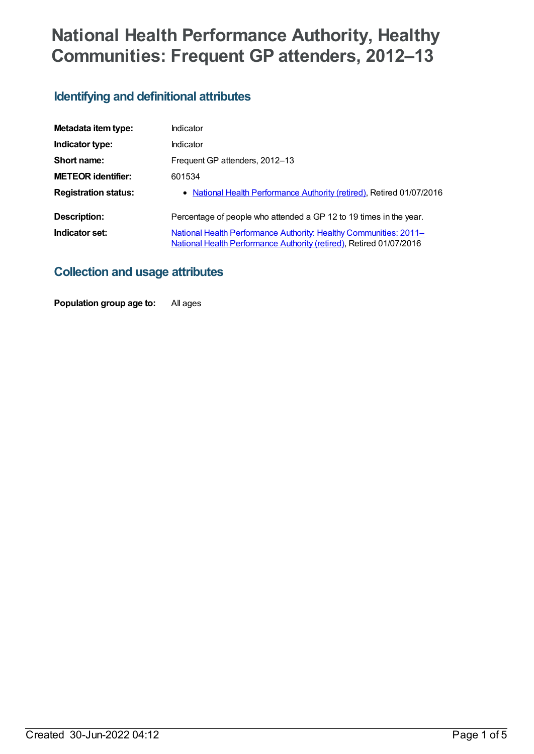# **National Health Performance Authority, Healthy Communities: Frequent GP attenders, 2012–13**

# **Identifying and definitional attributes**

| Metadata item type:         | Indicator                                                                                                                                       |
|-----------------------------|-------------------------------------------------------------------------------------------------------------------------------------------------|
| Indicator type:             | Indicator                                                                                                                                       |
| Short name:                 | Frequent GP attenders, 2012-13                                                                                                                  |
| <b>METEOR identifier:</b>   | 601534                                                                                                                                          |
| <b>Registration status:</b> | • National Health Performance Authority (retired), Retired 01/07/2016                                                                           |
| Description:                | Percentage of people who attended a GP 12 to 19 times in the year.                                                                              |
| Indicator set:              | <b>National Health Performance Authority: Healthy Communities: 2011–</b><br>National Health Performance Authority (retired), Retired 01/07/2016 |

## **Collection and usage attributes**

**Population group age to:** All ages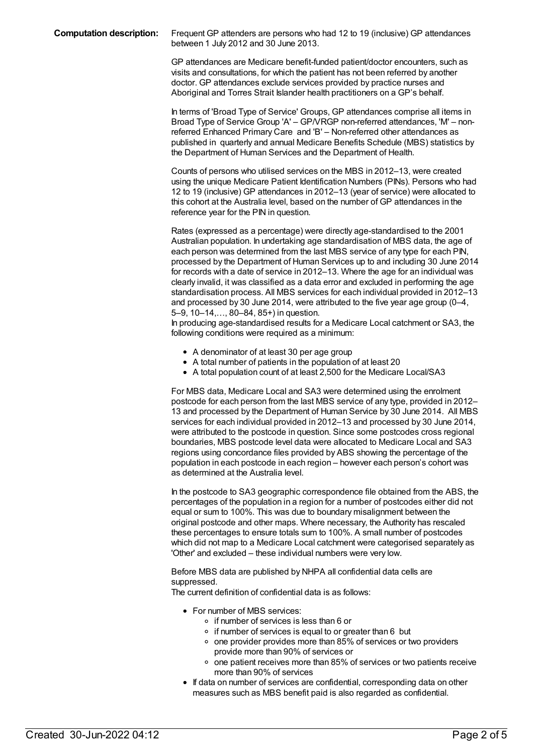GP attendances are Medicare benefit-funded patient/doctor encounters, such as visits and consultations, for which the patient has not been referred by another doctor. GP attendances exclude services provided by practice nurses and Aboriginal and Torres Strait Islander health practitioners on a GP's behalf.

In terms of 'Broad Type of Service' Groups, GP attendances comprise all items in Broad Type of Service Group 'A' – GP/VRGP non-referred attendances, 'M' – nonreferred Enhanced Primary Care and 'B' – Non-referred other attendances as published in quarterly and annual Medicare Benefits Schedule (MBS) statistics by the Department of Human Services and the Department of Health.

Counts of persons who utilised services on the MBS in 2012–13, were created using the unique Medicare Patient Identification Numbers (PINs). Persons who had 12 to 19 (inclusive) GP attendances in 2012–13 (year of service) were allocated to this cohort at the Australia level, based on the number of GP attendances in the reference year for the PIN in question.

Rates (expressed as a percentage) were directly age-standardised to the 2001 Australian population. In undertaking age standardisation of MBS data, the age of each person was determined from the last MBS service of any type for each PIN, processed by the Department of Human Services up to and including 30 June 2014 for records with a date of service in 2012–13. Where the age for an individual was clearly invalid, it was classified as a data error and excluded in performing the age standardisation process. All MBS services for each individual provided in 2012–13 and processed by 30 June 2014, were attributed to the five year age group (0–4, 5–9, 10–14,…, 80–84, 85+) in question.

In producing age-standardised results for a Medicare Local catchment or SA3, the following conditions were required as a minimum:

- A denominator of at least 30 per age group
- A total number of patients in the population of at least 20
- A total population count of at least 2,500 for the Medicare Local/SA3

For MBS data, Medicare Local and SA3 were determined using the enrolment postcode for each person from the last MBS service of any type, provided in 2012– 13 and processed by the Department of Human Service by 30 June 2014. All MBS services for each individual provided in 2012–13 and processed by 30 June 2014, were attributed to the postcode in question. Since some postcodes cross regional boundaries, MBS postcode level data were allocated to Medicare Local and SA3 regions using concordance files provided by ABS showing the percentage of the population in each postcode in each region – however each person's cohort was as determined at the Australia level.

In the postcode to SA3 geographic correspondence file obtained from the ABS, the percentages of the population in a region for a number of postcodes either did not equal or sum to 100%. This was due to boundary misalignment between the original postcode and other maps. Where necessary, the Authority has rescaled these percentages to ensure totals sum to 100%. A small number of postcodes which did not map to a Medicare Local catchment were categorised separately as 'Other' and excluded – these individual numbers were very low.

Before MBS data are published by NHPA all confidential data cells are suppressed.

The current definition of confidential data is as follows:

- For number of MBS services:
	- o if number of services is less than 6 or
	- o if number of services is equal to or greater than 6 but
	- $\circ$  one provider provides more than 85% of services or two providers provide more than 90% of services or
	- o one patient receives more than 85% of services or two patients receive more than 90% of services
- If data on number of services are confidential, corresponding data on other measures such as MBS benefit paid is also regarded as confidential.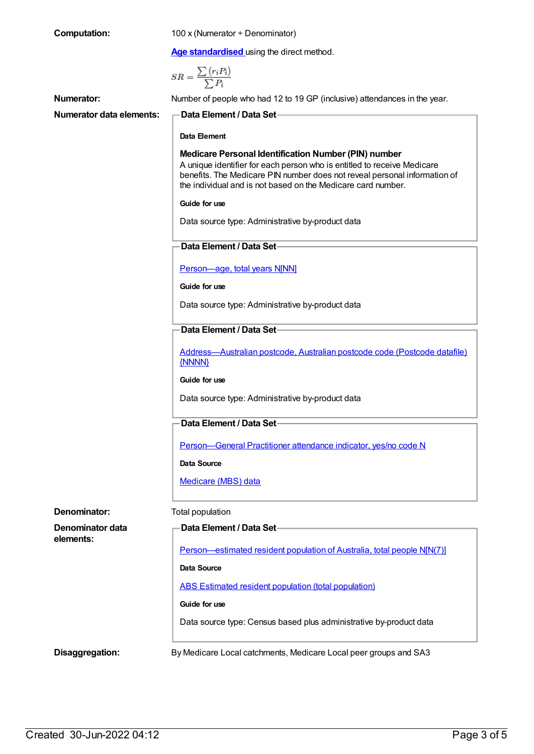| <b>Computation:</b>           | 100 x (Numerator ÷ Denominator)                                                                                                                                                                                                                                              |
|-------------------------------|------------------------------------------------------------------------------------------------------------------------------------------------------------------------------------------------------------------------------------------------------------------------------|
|                               | Age standardised using the direct method.                                                                                                                                                                                                                                    |
|                               | $SR = \frac{\sum (r_i P_i)}{\sum P_i}$                                                                                                                                                                                                                                       |
| <b>Numerator:</b>             | Number of people who had 12 to 19 GP (inclusive) attendances in the year.                                                                                                                                                                                                    |
| Numerator data elements:      | Data Element / Data Set-                                                                                                                                                                                                                                                     |
|                               | Data Element                                                                                                                                                                                                                                                                 |
|                               | Medicare Personal Identification Number (PIN) number<br>A unique identifier for each person who is entitled to receive Medicare<br>benefits. The Medicare PIN number does not reveal personal information of<br>the individual and is not based on the Medicare card number. |
|                               | Guide for use                                                                                                                                                                                                                                                                |
|                               | Data source type: Administrative by-product data                                                                                                                                                                                                                             |
|                               | Data Element / Data Set                                                                                                                                                                                                                                                      |
|                               | Person-age, total years N[NN]                                                                                                                                                                                                                                                |
|                               | Guide for use                                                                                                                                                                                                                                                                |
|                               | Data source type: Administrative by-product data                                                                                                                                                                                                                             |
|                               | <b>Data Element / Data Set</b>                                                                                                                                                                                                                                               |
|                               | Address-Australian postcode, Australian postcode code (Postcode datafile)<br>{NNNN}                                                                                                                                                                                          |
|                               | Guide for use                                                                                                                                                                                                                                                                |
|                               | Data source type: Administrative by-product data                                                                                                                                                                                                                             |
|                               | Data Element / Data Set                                                                                                                                                                                                                                                      |
|                               | Person-General Practitioner attendance indicator, yes/no code N                                                                                                                                                                                                              |
|                               | <b>Data Source</b>                                                                                                                                                                                                                                                           |
|                               | Medicare (MBS) data                                                                                                                                                                                                                                                          |
| Denominator:                  | Total population                                                                                                                                                                                                                                                             |
| Denominator data<br>elements: | Data Element / Data Set-                                                                                                                                                                                                                                                     |
|                               | Person—estimated resident population of Australia, total people N[N(7)]                                                                                                                                                                                                      |
|                               | <b>Data Source</b>                                                                                                                                                                                                                                                           |
|                               | <b>ABS Estimated resident population (total population)</b>                                                                                                                                                                                                                  |
|                               | Guide for use                                                                                                                                                                                                                                                                |
|                               | Data source type: Census based plus administrative by-product data                                                                                                                                                                                                           |
| Disaggregation:               | By Medicare Local catchments, Medicare Local peer groups and SA3                                                                                                                                                                                                             |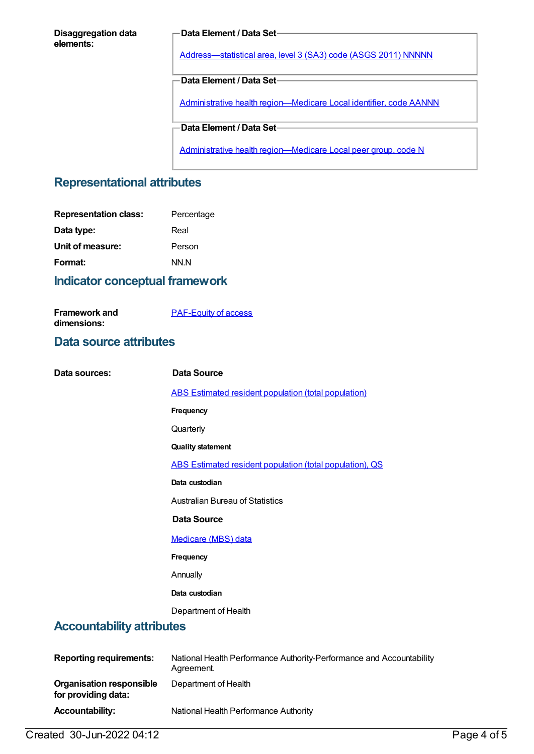#### **Disaggregation data elements:**

#### **Data Element / Data Set**

[Address—statistical](https://meteor.aihw.gov.au/content/457293) area, level 3 (SA3) code (ASGS 2011) NNNNN

**Data Element / Data Set**

Administrative health [region—Medicare](https://meteor.aihw.gov.au/content/513288) Local identifier, code AANNN

**Data Element / Data Set**

Administrative health [region—Medicare](https://meteor.aihw.gov.au/content/550733) Local peer group, code N

### **Representational attributes**

### **Indicator conceptual framework**

[PAF-Equity](https://meteor.aihw.gov.au/content/554927) of access

### **Data source attributes**

**Framework and dimensions:**

| Data sources:                                          | <b>Data Source</b>                                                                 |
|--------------------------------------------------------|------------------------------------------------------------------------------------|
|                                                        | <b>ABS Estimated resident population (total population)</b>                        |
|                                                        | Frequency                                                                          |
|                                                        | Quarterly                                                                          |
|                                                        | <b>Quality statement</b>                                                           |
|                                                        | ABS Estimated resident population (total population), QS                           |
|                                                        | Data custodian                                                                     |
|                                                        | <b>Australian Bureau of Statistics</b>                                             |
|                                                        | <b>Data Source</b>                                                                 |
|                                                        | Medicare (MBS) data                                                                |
|                                                        | Frequency                                                                          |
|                                                        | Annually                                                                           |
|                                                        | Data custodian                                                                     |
|                                                        | Department of Health                                                               |
| <b>Accountability attributes</b>                       |                                                                                    |
|                                                        |                                                                                    |
| <b>Reporting requirements:</b>                         | National Health Performance Authority-Performance and Accountability<br>Agreement. |
| <b>Organisation responsible</b><br>for providing data: | Department of Health                                                               |

**Accountability:** National Health Performance Authority